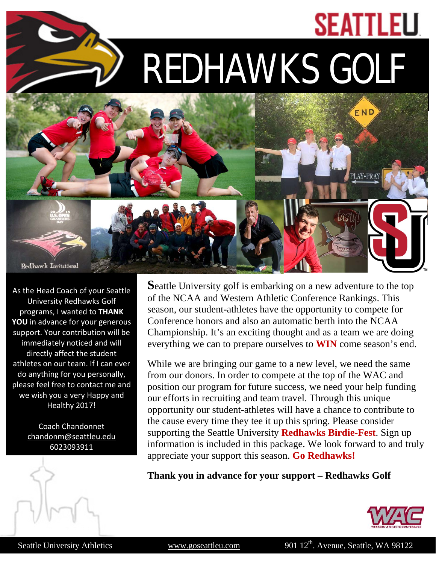## **SEATTLEU**

REDHAWKS GOLF



As the Head Coach of your Seattle University Redhawks Golf programs, I wanted to **THANK YOU** in advance for your generous support. Your contribution will be immediately noticed and will directly affect the student athletes on our team. If I can ever do anything for you personally, please feel free to contact me and we wish you a very Happy and Healthy 2017!

> Coach Chandonnet [chandonm@seattleu.edu](mailto:chandonm@seattleu.edu) 6023093911



**S**eattle University golf is embarking on a new adventure to the top of the NCAA and Western Athletic Conference Rankings. This season, our student-athletes have the opportunity to compete for Conference honors and also an automatic berth into the NCAA Championship. It's an exciting thought and as a team we are doing everything we can to prepare ourselves to **WIN** come season's end.

While we are bringing our game to a new level, we need the same from our donors. In order to compete at the top of the WAC and position our program for future success, we need your help funding our efforts in recruiting and team travel. Through this unique opportunity our student-athletes will have a chance to contribute to the cause every time they tee it up this spring. Please consider supporting the Seattle University **Redhawks Birdie-Fest**. Sign up information is included in this package. We look forward to and truly appreciate your support this season. **Go Redhawks!**

**Thank you in advance for your support – Redhawks Golf**